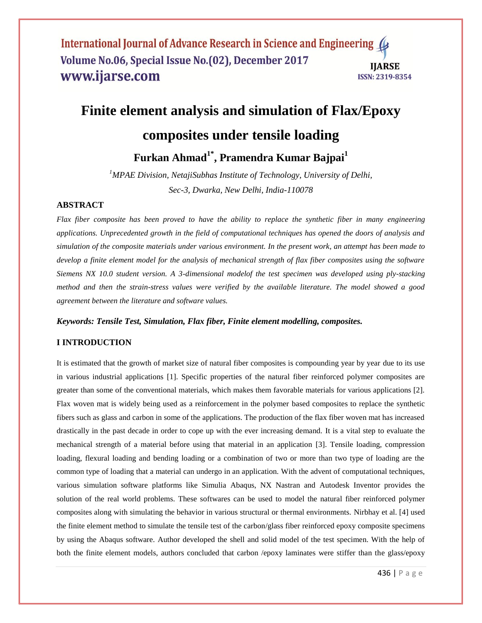# **Finite element analysis and simulation of Flax/Epoxy**

# **composites under tensile loading**

**Furkan Ahmad1\* , Pramendra Kumar Bajpai<sup>1</sup>**

*<sup>1</sup>MPAE Division, NetajiSubhas Institute of Technology, University of Delhi, Sec-3, Dwarka, New Delhi, India-110078*

## **ABSTRACT**

*Flax fiber composite has been proved to have the ability to replace the synthetic fiber in many engineering applications. Unprecedented growth in the field of computational techniques has opened the doors of analysis and simulation of the composite materials under various environment. In the present work, an attempt has been made to develop a finite element model for the analysis of mechanical strength of flax fiber composites using the software Siemens NX 10.0 student version. A 3-dimensional modelof the test specimen was developed using ply-stacking method and then the strain-stress values were verified by the available literature. The model showed a good agreement between the literature and software values.*

*Keywords: Tensile Test, Simulation, Flax fiber, Finite element modelling, composites.*

# **I INTRODUCTION**

It is estimated that the growth of market size of natural fiber composites is compounding year by year due to its use in various industrial applications [1]. Specific properties of the natural fiber reinforced polymer composites are greater than some of the conventional materials, which makes them favorable materials for various applications [2]. Flax woven mat is widely being used as a reinforcement in the polymer based composites to replace the synthetic fibers such as glass and carbon in some of the applications. The production of the flax fiber woven mat has increased drastically in the past decade in order to cope up with the ever increasing demand. It is a vital step to evaluate the mechanical strength of a material before using that material in an application [3]. Tensile loading, compression loading, flexural loading and bending loading or a combination of two or more than two type of loading are the common type of loading that a material can undergo in an application. With the advent of computational techniques, various simulation software platforms like Simulia Abaqus, NX Nastran and Autodesk Inventor provides the solution of the real world problems. These softwares can be used to model the natural fiber reinforced polymer composites along with simulating the behavior in various structural or thermal environments. Nirbhay et al. [4] used the finite element method to simulate the tensile test of the carbon/glass fiber reinforced epoxy composite specimens by using the Abaqus software. Author developed the shell and solid model of the test specimen. With the help of both the finite element models, authors concluded that carbon /epoxy laminates were stiffer than the glass/epoxy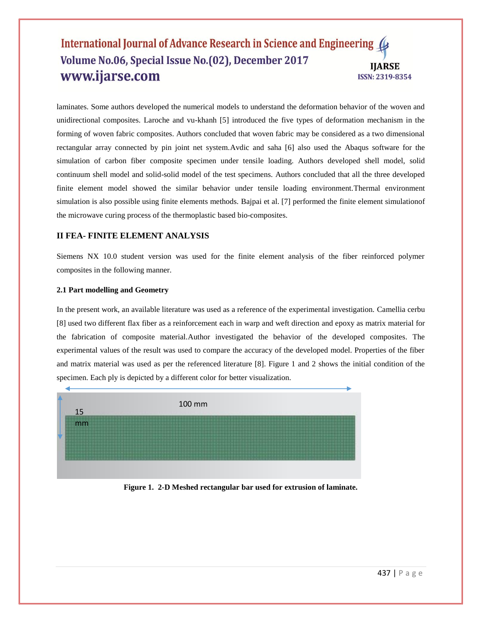laminates. Some authors developed the numerical models to understand the deformation behavior of the woven and unidirectional composites. Laroche and vu-khanh [5] introduced the five types of deformation mechanism in the forming of woven fabric composites. Authors concluded that woven fabric may be considered as a two dimensional rectangular array connected by pin joint net system.Avdic and saha [6] also used the Abaqus software for the simulation of carbon fiber composite specimen under tensile loading. Authors developed shell model, solid continuum shell model and solid-solid model of the test specimens. Authors concluded that all the three developed finite element model showed the similar behavior under tensile loading environment.Thermal environment simulation is also possible using finite elements methods. Bajpai et al. [7] performed the finite element simulationof the microwave curing process of the thermoplastic based bio-composites.

# **II FEA- FINITE ELEMENT ANALYSIS**

Siemens NX 10.0 student version was used for the finite element analysis of the fiber reinforced polymer composites in the following manner.

# **2.1 Part modelling and Geometry**

In the present work, an available literature was used as a reference of the experimental investigation. Camellia cerbu [8] used two different flax fiber as a reinforcement each in warp and weft direction and epoxy as matrix material for the fabrication of composite material.Author investigated the behavior of the developed composites. The experimental values of the result was used to compare the accuracy of the developed model. Properties of the fiber and matrix material was used as per the referenced literature [8]. Figure 1 and 2 shows the initial condition of the specimen. Each ply is depicted by a different color for better visualization.



**Figure 1. 2-D Meshed rectangular bar used for extrusion of laminate.**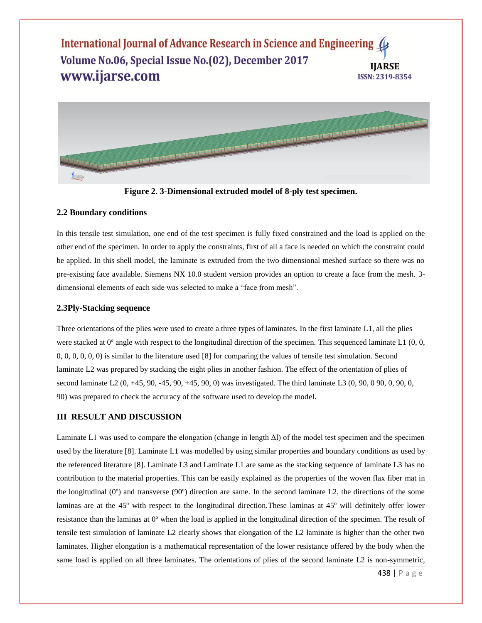

**Figure 2. 3-Dimensional extruded model of 8-ply test specimen.**

## **2.2 Boundary conditions**

In this tensile test simulation, one end of the test specimen is fully fixed constrained and the load is applied on the other end of the specimen. In order to apply the constraints, first of all a face is needed on which the constraint could be applied. In this shell model, the laminate is extruded from the two dimensional meshed surface so there was no pre-existing face available. Siemens NX 10.0 student version provides an option to create a face from the mesh. 3 dimensional elements of each side was selected to make a "face from mesh".

#### **2.3Ply-Stacking sequence**

Three orientations of the plies were used to create a three types of laminates. In the first laminate L1, all the plies were stacked at  $0^{\circ}$  angle with respect to the longitudinal direction of the specimen. This sequenced laminate L1 (0, 0, 0, 0, 0, 0, 0, 0) is similar to the literature used [8] for comparing the values of tensile test simulation. Second laminate L2 was prepared by stacking the eight plies in another fashion. The effect of the orientation of plies of second laminate L2 (0, +45, 90, -45, 90, +45, 90, 0) was investigated. The third laminate L3 (0, 90, 0 90, 0, 90, 0, 90) was prepared to check the accuracy of the software used to develop the model.

# **III RESULT AND DISCUSSION**

Laminate L1 was used to compare the elongation (change in length Δl) of the model test specimen and the specimen used by the literature [8]. Laminate L1 was modelled by using similar properties and boundary conditions as used by the referenced literature [8]. Laminate L3 and Laminate L1 are same as the stacking sequence of laminate L3 has no contribution to the material properties. This can be easily explained as the properties of the woven flax fiber mat in the longitudinal (0º) and transverse (90º) direction are same. In the second laminate L2, the directions of the some laminas are at the 45º with respect to the longitudinal direction.These laminas at 45º will definitely offer lower resistance than the laminas at 0º when the load is applied in the longitudinal direction of the specimen. The result of tensile test simulation of laminate L2 clearly shows that elongation of the L2 laminate is higher than the other two laminates. Higher elongation is a mathematical representation of the lower resistance offered by the body when the same load is applied on all three laminates. The orientations of plies of the second laminate L2 is non-symmetric,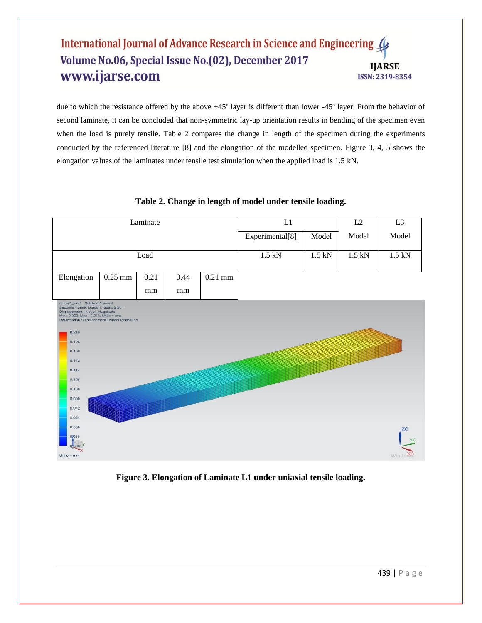due to which the resistance offered by the above +45º layer is different than lower -45º layer. From the behavior of second laminate, it can be concluded that non-symmetric lay-up orientation results in bending of the specimen even when the load is purely tensile. Table 2 compares the change in length of the specimen during the experiments conducted by the referenced literature [8] and the elongation of the modelled specimen. Figure 3, 4, 5 shows the elongation values of the laminates under tensile test simulation when the applied load is 1.5 kN.



# **Table 2. Change in length of model under tensile loading.**

**Figure 3. Elongation of Laminate L1 under uniaxial tensile loading.**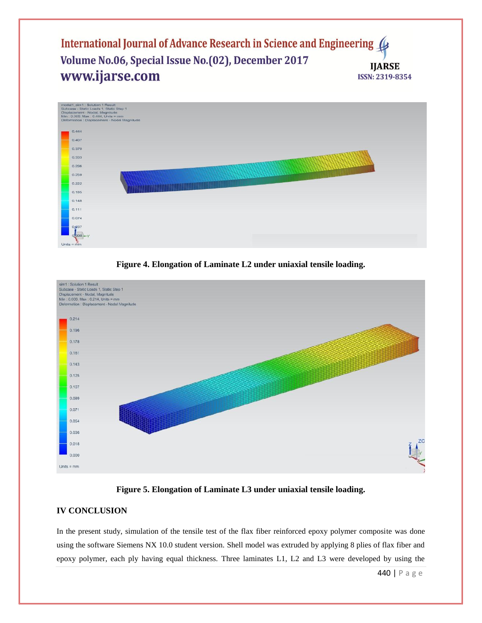





## **Figure 5. Elongation of Laminate L3 under uniaxial tensile loading.**

# **IV CONCLUSION**

In the present study, simulation of the tensile test of the flax fiber reinforced epoxy polymer composite was done using the software Siemens NX 10.0 student version. Shell model was extruded by applying 8 plies of flax fiber and epoxy polymer, each ply having equal thickness. Three laminates L1, L2 and L3 were developed by using the